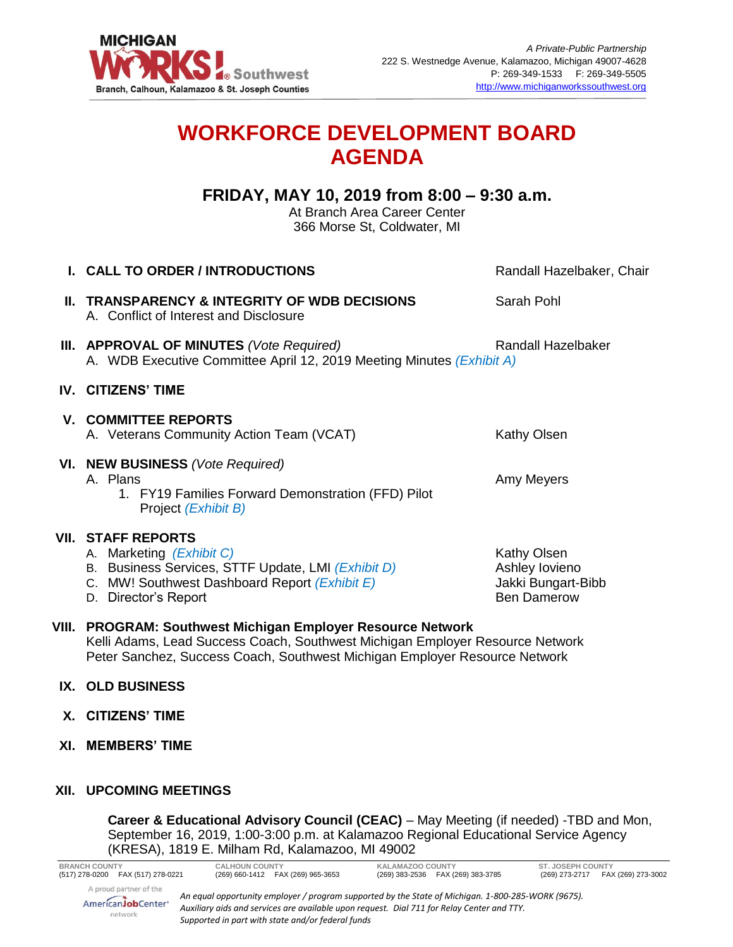

# **WORKFORCE DEVELOPMENT BOARD AGENDA**

## **FRIDAY, MAY 10, 2019 from 8:00 – 9:30 a.m.**

At Branch Area Career Center 366 Morse St, Coldwater, MI

| I. CALL TO ORDER / INTRODUCTIONS                                                                                                                                                     | Randall Hazelbaker, Chair                                                 |
|--------------------------------------------------------------------------------------------------------------------------------------------------------------------------------------|---------------------------------------------------------------------------|
| <b>II. TRANSPARENCY &amp; INTEGRITY OF WDB DECISIONS</b><br>A. Conflict of Interest and Disclosure                                                                                   | Sarah Pohl                                                                |
| III. APPROVAL OF MINUTES (Vote Required)<br>A. WDB Executive Committee April 12, 2019 Meeting Minutes (Exhibit A)                                                                    | Randall Hazelbaker                                                        |
| <b>IV. CITIZENS' TIME</b>                                                                                                                                                            |                                                                           |
| <b>V. COMMITTEE REPORTS</b><br>A. Veterans Community Action Team (VCAT)                                                                                                              | Kathy Olsen                                                               |
| VI. NEW BUSINESS (Vote Required)<br>A. Plans<br>1. FY19 Families Forward Demonstration (FFD) Pilot<br>Project (Exhibit B)                                                            | Amy Meyers                                                                |
| <b>VII. STAFF REPORTS</b><br>A. Marketing (Exhibit C)<br>B. Business Services, STTF Update, LMI (Exhibit D)<br>C. MW! Southwest Dashboard Report (Exhibit E)<br>D. Director's Report | Kathy Olsen<br>Ashley lovieno<br>Jakki Bungart-Bibb<br><b>Ben Damerow</b> |
| VIII. PROGRAM: Southwest Michigan Employer Resource Network                                                                                                                          |                                                                           |

Kelli Adams, Lead Success Coach, Southwest Michigan Employer Resource Network Peter Sanchez, Success Coach, Southwest Michigan Employer Resource Network

### **IX. OLD BUSINESS**

- **X. CITIZENS' TIME**
- **XI. MEMBERS' TIME**

### **XII. UPCOMING MEETINGS**

**Career & Educational Advisory Council (CEAC)** – May Meeting (if needed) -TBD and Mon, September 16, 2019, 1:00-3:00 p.m. at Kalamazoo Regional Educational Service Agency (KRESA), 1819 E. Milham Rd, Kalamazoo, MI 49002